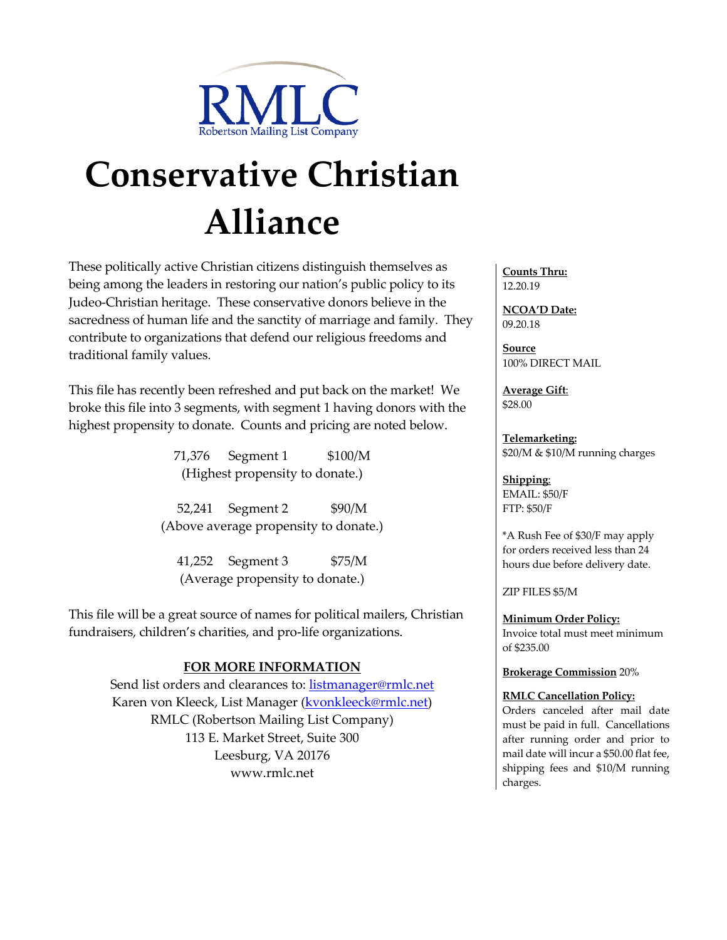

## **Conservative Christian Alliance**

These politically active Christian citizens distinguish themselves as being among the leaders in restoring our nation's public policy to its Judeo-Christian heritage. These conservative donors believe in the sacredness of human life and the sanctity of marriage and family. They contribute to organizations that defend our religious freedoms and traditional family values.

This file has recently been refreshed and put back on the market! We broke this file into 3 segments, with segment 1 having donors with the highest propensity to donate. Counts and pricing are noted below.

> 71,376 Segment 1 \$100/M (Highest propensity to donate.)

52,241 Segment 2 \$90/M (Above average propensity to donate.)

41,252 Segment 3 \$75/M (Average propensity to donate.)

This file will be a great source of names for political mailers, Christian fundraisers, children's charities, and pro-life organizations.

## **FOR MORE INFORMATION**

Send list orders and clearances to: listmanager@rmlc.net Karen von Kleeck, List Manager (**kvonkleeck@rmlc.net**) RMLC (Robertson Mailing List Company) 113 E. Market Street, Suite 300 Leesburg, VA 20176 www.rmlc.net

**Counts Thru:**  12.20.19

**NCOA'D Date:** 09.20.18

**Source** 100% DIRECT MAIL

**Average Gift**: \$28.00

**Telemarketing:** \$20/M & \$10/M running charges

**Shipping**: EMAIL: \$50/F FTP: \$50/F

\*A Rush Fee of \$30/F may apply for orders received less than 24 hours due before delivery date.

ZIP FILES \$5/M

**Minimum Order Policy:** Invoice total must meet minimum of \$235.00

**Brokerage Commission** 20%

**RMLC Cancellation Policy:**

Orders canceled after mail date must be paid in full. Cancellations after running order and prior to mail date will incur a \$50.00 flat fee, shipping fees and \$10/M running charges.